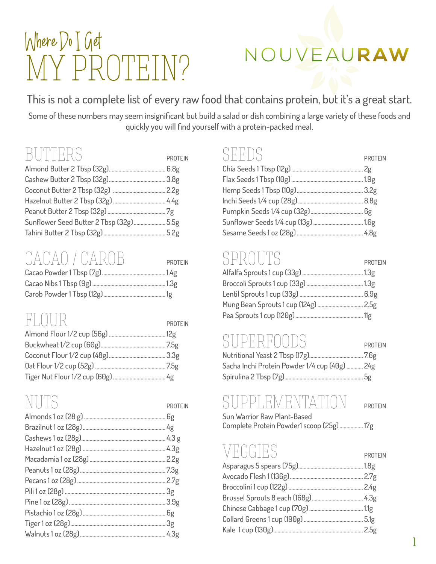# Where Do I Get MY PROTEIN?

# NOUVEAURAW

This is not a complete list of every raw food that contains protein, but it's a great start.

Some of these numbers may seem insignificant but build a salad or dish combining a large variety of these foods and quickly you will find yourself with a protein-packed meal.

#### BUTTERS PROTEIN

| .                                  | .                |
|------------------------------------|------------------|
| Almond Butter 2 Tbsp (32g)         | 6.8 <sub>g</sub> |
| Cashew Butter 2 Tbsp (32g)         | 3.8 <sub>g</sub> |
|                                    | 2.2 <sub>g</sub> |
|                                    |                  |
|                                    |                  |
| Sunflower Seed Butter 2 Tbsp (32g) | 5.5g             |
| Tahini Butter 2 Tbsp (32g)         | 5.2g             |

#### CACAO / CAROB PROTEIN

## FLOUR PROTEIN

| PROTEIN |
|---------|
|         |
|         |
|         |
|         |
|         |
|         |
|         |
|         |
|         |
|         |
|         |
|         |

| <b>PROTEIN</b>   |
|------------------|
| 2g               |
| 1.9 <sub>g</sub> |
| 3.2 <sub>g</sub> |
| 8.8 <sub>g</sub> |
| 6g               |
| 1.6g             |
| 4.8g             |

#### SPROTITS PROTEIN

| モナトニー きくし ナーナモナ                | PROTEIN |
|--------------------------------|---------|
| Alfalfa Sprouts 1 cup (33g)    | .13g    |
|                                | .13g    |
| Lentil Sprouts 1 cup (33g)     | .6.9g   |
| Mung Bean Sprouts 1 cup (124g) | .2.5g   |
|                                | . 11ø   |
|                                |         |

#### SUPERFOODS PROTEIN

| Sacha Inchi Protein Powder 1/4 cup (40g)  24g |  |
|-----------------------------------------------|--|
|                                               |  |

### SUPPLEMENTATION PROTEIN

1

Sun Warrior Raw Plant-Based Complete Protein Powder1 scoop (25g)................. 17g

## EGGIES PROTEIN

| Asparagus 5 spears (75g)       | 1.8 <sub>g</sub> |
|--------------------------------|------------------|
| Avocado Flesh 1 (136g)         | 2.7 <sub>g</sub> |
| Broccolini 1 cup (122g)        | 2.4g             |
| Brussel Sprouts 8 each (168g). | 4.3 <sub>g</sub> |
| Chinese Cabbage 1 cup (70g)    | . $1.1g$         |
| Collard Greens 1 cup (190g)    | 5.1 <sub>g</sub> |
| Kale 1 cup (130g)              | 2.5g             |
|                                |                  |